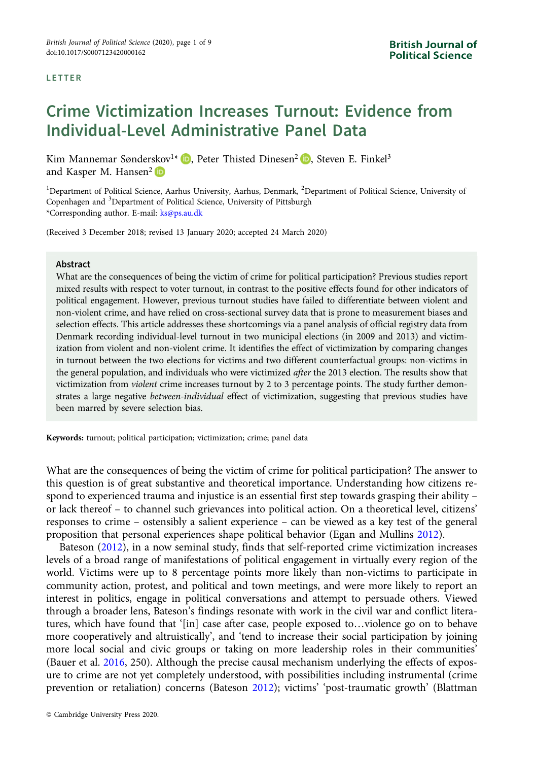# Crime Victimization Increases Turnout: Evidence from Individual-Level Administrative Panel Data

Kim Mannemar Sønderskov<sup>1\*</sup> D[,](https://orcid.org/0000-0002-3550-0772) Peter Thisted Dinesen<sup>2</sup> D, Steven E. Finkel<sup>3</sup> and Kasper M. Hansen<sup>2</sup> ID

<sup>1</sup>Department of Political Science, Aarhus University, Aarhus, Denmark, <sup>2</sup>Department of Political Science, University of Copenhagen and <sup>3</sup>Department of Political Science, University of Pittsburgh \*Corresponding author. E-mail: [ks@ps.au.dk](mailto:ks@ps.au.dk)

(Received 3 December 2018; revised 13 January 2020; accepted 24 March 2020)

### Abstract

What are the consequences of being the victim of crime for political participation? Previous studies report mixed results with respect to voter turnout, in contrast to the positive effects found for other indicators of political engagement. However, previous turnout studies have failed to differentiate between violent and non-violent crime, and have relied on cross-sectional survey data that is prone to measurement biases and selection effects. This article addresses these shortcomings via a panel analysis of official registry data from Denmark recording individual-level turnout in two municipal elections (in 2009 and 2013) and victimization from violent and non-violent crime. It identifies the effect of victimization by comparing changes in turnout between the two elections for victims and two different counterfactual groups: non-victims in the general population, and individuals who were victimized after the 2013 election. The results show that victimization from violent crime increases turnout by 2 to 3 percentage points. The study further demonstrates a large negative between-individual effect of victimization, suggesting that previous studies have been marred by severe selection bias.

Keywords: turnout; political participation; victimization; crime; panel data

What are the consequences of being the victim of crime for political participation? The answer to this question is of great substantive and theoretical importance. Understanding how citizens respond to experienced trauma and injustice is an essential first step towards grasping their ability – or lack thereof – to channel such grievances into political action. On a theoretical level, citizens' responses to crime – ostensibly a salient experience – can be viewed as a key test of the general proposition that personal experiences shape political behavior (Egan and Mullins [2012\)](#page-8-0).

Bateson [\(2012\)](#page-7-0), in a now seminal study, finds that self-reported crime victimization increases levels of a broad range of manifestations of political engagement in virtually every region of the world. Victims were up to 8 percentage points more likely than non-victims to participate in community action, protest, and political and town meetings, and were more likely to report an interest in politics, engage in political conversations and attempt to persuade others. Viewed through a broader lens, Bateson's findings resonate with work in the civil war and conflict literatures, which have found that '[in] case after case, people exposed to…violence go on to behave more cooperatively and altruistically', and 'tend to increase their social participation by joining more local social and civic groups or taking on more leadership roles in their communities' (Bauer et al. [2016,](#page-7-0) 250). Although the precise causal mechanism underlying the effects of exposure to crime are not yet completely understood, with possibilities including instrumental (crime prevention or retaliation) concerns (Bateson [2012\)](#page-7-0); victims' 'post-traumatic growth' (Blattman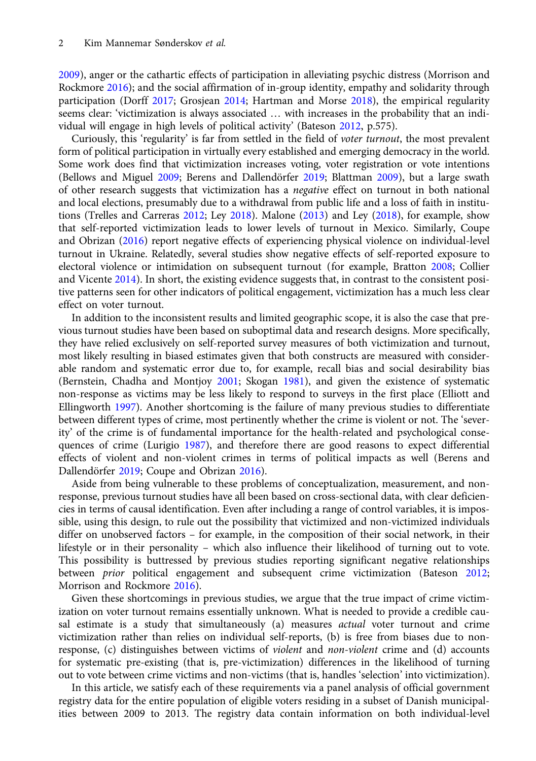[2009\)](#page-7-0), anger or the cathartic effects of participation in alleviating psychic distress (Morrison and Rockmore [2016](#page-8-0)); and the social affirmation of in-group identity, empathy and solidarity through participation (Dorff [2017;](#page-8-0) Grosjean [2014](#page-8-0); Hartman and Morse [2018\)](#page-8-0), the empirical regularity seems clear: 'victimization is always associated … with increases in the probability that an individual will engage in high levels of political activity' (Bateson [2012](#page-7-0), p.575).

Curiously, this 'regularity' is far from settled in the field of voter turnout, the most prevalent form of political participation in virtually every established and emerging democracy in the world. Some work does find that victimization increases voting, voter registration or vote intentions (Bellows and Miguel [2009;](#page-7-0) Berens and Dallendörfer [2019;](#page-7-0) Blattman [2009\)](#page-7-0), but a large swath of other research suggests that victimization has a negative effect on turnout in both national and local elections, presumably due to a withdrawal from public life and a loss of faith in institutions (Trelles and Carreras [2012](#page-8-0); Ley [2018](#page-8-0)). Malone ([2013\)](#page-8-0) and Ley ([2018](#page-8-0)), for example, show that self-reported victimization leads to lower levels of turnout in Mexico. Similarly, Coupe and Obrizan ([2016\)](#page-7-0) report negative effects of experiencing physical violence on individual-level turnout in Ukraine. Relatedly, several studies show negative effects of self-reported exposure to electoral violence or intimidation on subsequent turnout (for example, Bratton [2008;](#page-7-0) Collier and Vicente [2014](#page-7-0)). In short, the existing evidence suggests that, in contrast to the consistent positive patterns seen for other indicators of political engagement, victimization has a much less clear effect on voter turnout.

In addition to the inconsistent results and limited geographic scope, it is also the case that previous turnout studies have been based on suboptimal data and research designs. More specifically, they have relied exclusively on self-reported survey measures of both victimization and turnout, most likely resulting in biased estimates given that both constructs are measured with considerable random and systematic error due to, for example, recall bias and social desirability bias (Bernstein, Chadha and Montjoy [2001;](#page-7-0) Skogan [1981](#page-8-0)), and given the existence of systematic non-response as victims may be less likely to respond to surveys in the first place (Elliott and Ellingworth [1997](#page-8-0)). Another shortcoming is the failure of many previous studies to differentiate between different types of crime, most pertinently whether the crime is violent or not. The 'severity' of the crime is of fundamental importance for the health-related and psychological consequences of crime (Lurigio [1987](#page-8-0)), and therefore there are good reasons to expect differential effects of violent and non-violent crimes in terms of political impacts as well (Berens and Dallendörfer [2019](#page-7-0); Coupe and Obrizan [2016](#page-7-0)).

Aside from being vulnerable to these problems of conceptualization, measurement, and nonresponse, previous turnout studies have all been based on cross-sectional data, with clear deficiencies in terms of causal identification. Even after including a range of control variables, it is impossible, using this design, to rule out the possibility that victimized and non-victimized individuals differ on unobserved factors – for example, in the composition of their social network, in their lifestyle or in their personality – which also influence their likelihood of turning out to vote. This possibility is buttressed by previous studies reporting significant negative relationships between prior political engagement and subsequent crime victimization (Bateson [2012](#page-7-0); Morrison and Rockmore [2016\)](#page-8-0).

Given these shortcomings in previous studies, we argue that the true impact of crime victimization on voter turnout remains essentially unknown. What is needed to provide a credible causal estimate is a study that simultaneously (a) measures *actual* voter turnout and crime victimization rather than relies on individual self-reports, (b) is free from biases due to nonresponse, (c) distinguishes between victims of *violent* and *non-violent* crime and (d) accounts for systematic pre-existing (that is, pre-victimization) differences in the likelihood of turning out to vote between crime victims and non-victims (that is, handles 'selection' into victimization).

In this article, we satisfy each of these requirements via a panel analysis of official government registry data for the entire population of eligible voters residing in a subset of Danish municipalities between 2009 to 2013. The registry data contain information on both individual-level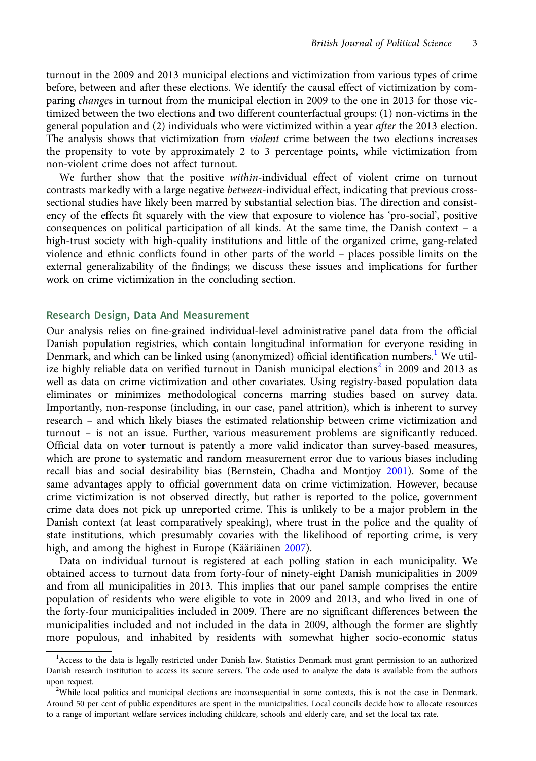turnout in the 2009 and 2013 municipal elections and victimization from various types of crime before, between and after these elections. We identify the causal effect of victimization by comparing changes in turnout from the municipal election in 2009 to the one in 2013 for those victimized between the two elections and two different counterfactual groups: (1) non-victims in the general population and (2) individuals who were victimized within a year after the 2013 election. The analysis shows that victimization from *violent* crime between the two elections increases the propensity to vote by approximately 2 to 3 percentage points, while victimization from non-violent crime does not affect turnout.

We further show that the positive within-individual effect of violent crime on turnout contrasts markedly with a large negative between-individual effect, indicating that previous crosssectional studies have likely been marred by substantial selection bias. The direction and consistency of the effects fit squarely with the view that exposure to violence has 'pro-social', positive consequences on political participation of all kinds. At the same time, the Danish context – a high-trust society with high-quality institutions and little of the organized crime, gang-related violence and ethnic conflicts found in other parts of the world – places possible limits on the external generalizability of the findings; we discuss these issues and implications for further work on crime victimization in the concluding section.

## Research Design, Data And Measurement

Our analysis relies on fine-grained individual-level administrative panel data from the official Danish population registries, which contain longitudinal information for everyone residing in Denmark, and which can be linked using (anonymized) official identification numbers.<sup>1</sup> We utilize highly reliable data on verified turnout in Danish municipal elections<sup>2</sup> in 2009 and 2013 as well as data on crime victimization and other covariates. Using registry-based population data eliminates or minimizes methodological concerns marring studies based on survey data. Importantly, non-response (including, in our case, panel attrition), which is inherent to survey research – and which likely biases the estimated relationship between crime victimization and turnout – is not an issue. Further, various measurement problems are significantly reduced. Official data on voter turnout is patently a more valid indicator than survey-based measures, which are prone to systematic and random measurement error due to various biases including recall bias and social desirability bias (Bernstein, Chadha and Montjoy [2001](#page-7-0)). Some of the same advantages apply to official government data on crime victimization. However, because crime victimization is not observed directly, but rather is reported to the police, government crime data does not pick up unreported crime. This is unlikely to be a major problem in the Danish context (at least comparatively speaking), where trust in the police and the quality of state institutions, which presumably covaries with the likelihood of reporting crime, is very high, and among the highest in Europe (Kääriäinen [2007](#page-8-0)).

Data on individual turnout is registered at each polling station in each municipality. We obtained access to turnout data from forty-four of ninety-eight Danish municipalities in 2009 and from all municipalities in 2013. This implies that our panel sample comprises the entire population of residents who were eligible to vote in 2009 and 2013, and who lived in one of the forty-four municipalities included in 2009. There are no significant differences between the municipalities included and not included in the data in 2009, although the former are slightly more populous, and inhabited by residents with somewhat higher socio-economic status

<sup>&</sup>lt;sup>1</sup> Access to the data is legally restricted under Danish law. Statistics Denmark must grant permission to an authorized Danish research institution to access its secure servers. The code used to analyze the data is available from the authors upon request.

<sup>&</sup>lt;sup>2</sup>While local politics and municipal elections are inconsequential in some contexts, this is not the case in Denmark. Around 50 per cent of public expenditures are spent in the municipalities. Local councils decide how to allocate resources to a range of important welfare services including childcare, schools and elderly care, and set the local tax rate.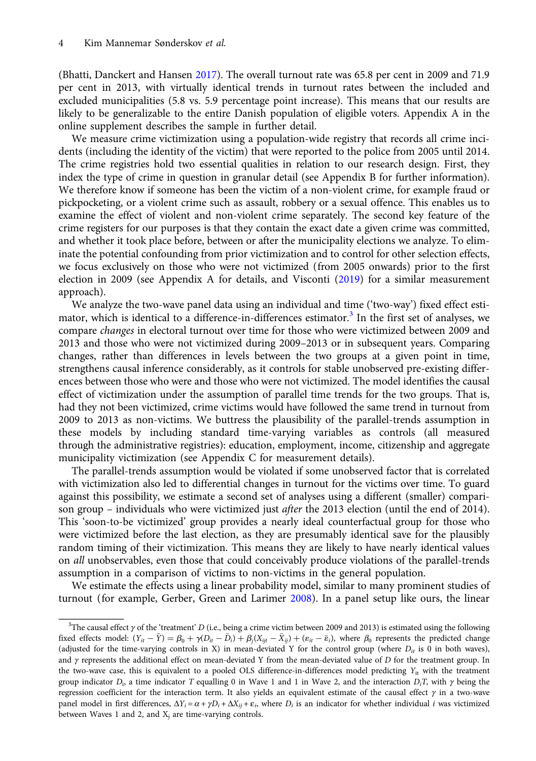(Bhatti, Danckert and Hansen [2017\)](#page-7-0). The overall turnout rate was 65.8 per cent in 2009 and 71.9 per cent in 2013, with virtually identical trends in turnout rates between the included and excluded municipalities (5.8 vs. 5.9 percentage point increase). This means that our results are likely to be generalizable to the entire Danish population of eligible voters. Appendix A in the online supplement describes the sample in further detail.

We measure crime victimization using a population-wide registry that records all crime incidents (including the identity of the victim) that were reported to the police from 2005 until 2014. The crime registries hold two essential qualities in relation to our research design. First, they index the type of crime in question in granular detail (see Appendix B for further information). We therefore know if someone has been the victim of a non-violent crime, for example fraud or pickpocketing, or a violent crime such as assault, robbery or a sexual offence. This enables us to examine the effect of violent and non-violent crime separately. The second key feature of the crime registers for our purposes is that they contain the exact date a given crime was committed, and whether it took place before, between or after the municipality elections we analyze. To eliminate the potential confounding from prior victimization and to control for other selection effects, we focus exclusively on those who were not victimized (from 2005 onwards) prior to the first election in 2009 (see Appendix A for details, and Visconti ([2019](#page-8-0)) for a similar measurement approach).

We analyze the two-wave panel data using an individual and time ('two-way') fixed effect estimator, which is identical to a difference-in-differences estimator.<sup>3</sup> In the first set of analyses, we compare changes in electoral turnout over time for those who were victimized between 2009 and 2013 and those who were not victimized during 2009–2013 or in subsequent years. Comparing changes, rather than differences in levels between the two groups at a given point in time, strengthens causal inference considerably, as it controls for stable unobserved pre-existing differences between those who were and those who were not victimized. The model identifies the causal effect of victimization under the assumption of parallel time trends for the two groups. That is, had they not been victimized, crime victims would have followed the same trend in turnout from 2009 to 2013 as non-victims. We buttress the plausibility of the parallel-trends assumption in these models by including standard time-varying variables as controls (all measured through the administrative registries): education, employment, income, citizenship and aggregate municipality victimization (see Appendix C for measurement details).

The parallel-trends assumption would be violated if some unobserved factor that is correlated with victimization also led to differential changes in turnout for the victims over time. To guard against this possibility, we estimate a second set of analyses using a different (smaller) comparison group - individuals who were victimized just after the 2013 election (until the end of 2014). This 'soon-to-be victimized' group provides a nearly ideal counterfactual group for those who were victimized before the last election, as they are presumably identical save for the plausibly random timing of their victimization. This means they are likely to have nearly identical values on all unobservables, even those that could conceivably produce violations of the parallel-trends assumption in a comparison of victims to non-victims in the general population.

We estimate the effects using a linear probability model, similar to many prominent studies of turnout (for example, Gerber, Green and Larimer [2008\)](#page-8-0). In a panel setup like ours, the linear

<sup>&</sup>lt;sup>3</sup>The causal effect  $\gamma$  of the 'treatment' D (i.e., being a crime victim between 2009 and 2013) is estimated using the following fixed effects model:  $(Y_{it} - \bar{Y}) = \beta_0 + \gamma (D_{it} - \bar{D}_i) + \beta_i (X_{ijt} - \bar{X}_{ij}) + (\varepsilon_{it} - \bar{\varepsilon}_i)$ , where  $\beta_0$  represents the predicted change (adjusted for the time-varying controls in X) in mean-deviated Y for the control group (where  $D_{it}$  is 0 in both waves), and  $\gamma$  represents the additional effect on mean-deviated Y from the mean-deviated value of D for the treatment group. In the two-wave case, this is equivalent to a pooled OLS difference-in-differences model predicting  $Y_{it}$  with the treatment group indicator  $D_i$ , a time indicator T equalling 0 in Wave 1 and 1 in Wave 2, and the interaction  $D_iT$ , with  $\gamma$  being the regression coefficient for the interaction term. It also yields an equivalent estimate of the causal effect  $γ$  in a two-wave panel model in first differences,  $\Delta Y_i = \alpha + \gamma D_i + \Delta X_{ii} + \varepsilon_i$ , where  $D_i$  is an indicator for whether individual *i* was victimized between Waves 1 and 2, and  $X_i$  are time-varying controls.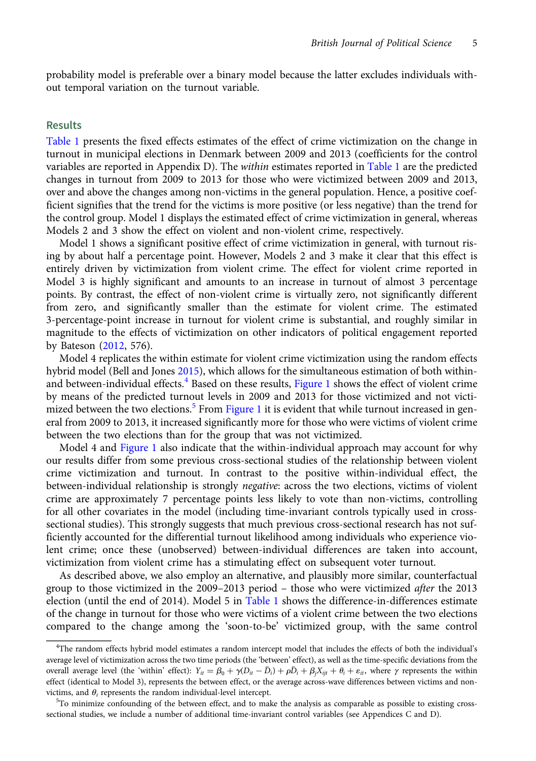probability model is preferable over a binary model because the latter excludes individuals without temporal variation on the turnout variable.

# Results

[Table 1](#page-5-0) presents the fixed effects estimates of the effect of crime victimization on the change in turnout in municipal elections in Denmark between 2009 and 2013 (coefficients for the control variables are reported in Appendix D). The *within* estimates reported in [Table 1](#page-5-0) are the predicted changes in turnout from 2009 to 2013 for those who were victimized between 2009 and 2013, over and above the changes among non-victims in the general population. Hence, a positive coefficient signifies that the trend for the victims is more positive (or less negative) than the trend for the control group. Model 1 displays the estimated effect of crime victimization in general, whereas Models 2 and 3 show the effect on violent and non-violent crime, respectively.

Model 1 shows a significant positive effect of crime victimization in general, with turnout rising by about half a percentage point. However, Models 2 and 3 make it clear that this effect is entirely driven by victimization from violent crime. The effect for violent crime reported in Model 3 is highly significant and amounts to an increase in turnout of almost 3 percentage points. By contrast, the effect of non-violent crime is virtually zero, not significantly different from zero, and significantly smaller than the estimate for violent crime. The estimated 3-percentage-point increase in turnout for violent crime is substantial, and roughly similar in magnitude to the effects of victimization on other indicators of political engagement reported by Bateson ([2012](#page-7-0), 576).

Model 4 replicates the within estimate for violent crime victimization using the random effects hybrid model (Bell and Jones [2015](#page-7-0)), which allows for the simultaneous estimation of both within-and between-individual effects.<sup>4</sup> Based on these results, [Figure 1](#page-5-0) shows the effect of violent crime by means of the predicted turnout levels in 2009 and 2013 for those victimized and not victimized between the two elections. $5$  From [Figure 1](#page-5-0) it is evident that while turnout increased in general from 2009 to 2013, it increased significantly more for those who were victims of violent crime between the two elections than for the group that was not victimized.

Model 4 and [Figure 1](#page-5-0) also indicate that the within-individual approach may account for why our results differ from some previous cross-sectional studies of the relationship between violent crime victimization and turnout. In contrast to the positive within-individual effect, the between-individual relationship is strongly *negative*: across the two elections, victims of violent crime are approximately 7 percentage points less likely to vote than non-victims, controlling for all other covariates in the model (including time-invariant controls typically used in crosssectional studies). This strongly suggests that much previous cross-sectional research has not sufficiently accounted for the differential turnout likelihood among individuals who experience violent crime; once these (unobserved) between-individual differences are taken into account, victimization from violent crime has a stimulating effect on subsequent voter turnout.

As described above, we also employ an alternative, and plausibly more similar, counterfactual group to those victimized in the 2009–2013 period – those who were victimized after the 2013 election (until the end of 2014). Model 5 in [Table 1](#page-5-0) shows the difference-in-differences estimate of the change in turnout for those who were victims of a violent crime between the two elections compared to the change among the 'soon-to-be' victimized group, with the same control

<sup>4</sup> The random effects hybrid model estimates a random intercept model that includes the effects of both the individual's average level of victimization across the two time periods (the 'between' effect), as well as the time-specific deviations from the overall average level (the 'within' effect):  $Y_{it} = \beta_0 + \gamma(D_{it} - \bar{D}_i) + \rho \bar{D}_i + \beta_i X_{it} + \theta_i + \varepsilon_{it}$ , where  $\gamma$  represents the within effect (identical to Model 3), represents the between effect, or the average across-wave differences between victims and nonvictims, and  $\theta_i$  represents the random individual-level intercept.

 $5T$ o minimize confounding of the between effect, and to make the analysis as comparable as possible to existing crosssectional studies, we include a number of additional time-invariant control variables (see Appendices C and D).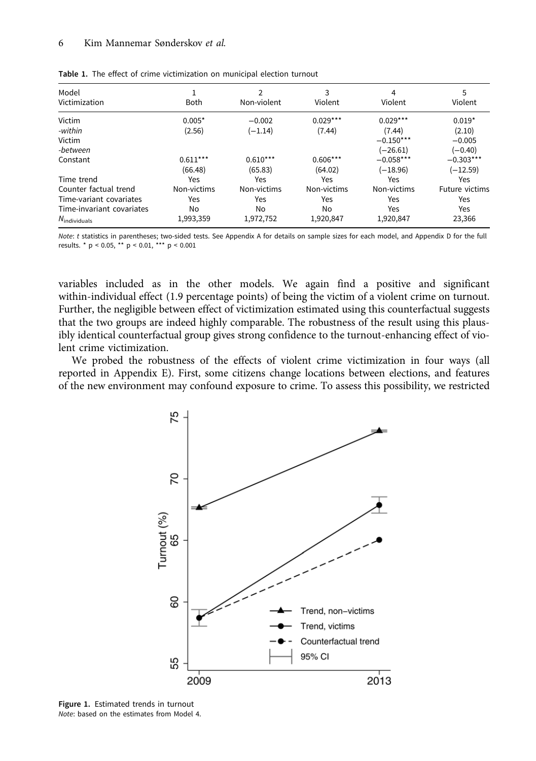#### <span id="page-5-0"></span>6 Kim Mannemar Sønderskov et al.

| Model<br>Victimization    | <b>Both</b> | C<br>Non-violent | 3<br>Violent | 4<br>Violent | 5<br>Violent   |
|---------------------------|-------------|------------------|--------------|--------------|----------------|
| Victim                    | $0.005*$    | $-0.002$         | $0.029***$   | $0.029***$   | $0.019*$       |
| -within                   | (2.56)      | $(-1.14)$        | (7.44)       | (7.44)       | (2.10)         |
| Victim                    |             |                  |              | $-0.150***$  | $-0.005$       |
| -between                  |             |                  |              | (–26.61)     | $(-0.40)$      |
| Constant                  | $0.611***$  | $0.610***$       | $0.606***$   | $-0.058***$  | $-0.303***$    |
|                           | (66.48)     | (65.83)          | (64.02)      | $(-18.96)$   | $(-12.59)$     |
| Time trend                | Yes         | Yes              | Yes          | Yes          | Yes            |
| Counter factual trend     | Non-victims | Non-victims      | Non-victims  | Non-victims  | Future victims |
| Time-variant covariates   | Yes         | Yes              | Yes          | Yes          | Yes            |
| Time-invariant covariates | No          | No               | No           | Yes          | Yes            |
| $N_{\text{individuals}}$  | 1,993,359   | 1,972,752        | 1,920,847    | 1,920,847    | 23,366         |

Note: t statistics in parentheses; two-sided tests. See Appendix A for details on sample sizes for each model, and Appendix D for the full results. \* p < 0.05, \*\* p < 0.01, \*\*\* p < 0.001

variables included as in the other models. We again find a positive and significant within-individual effect (1.9 percentage points) of being the victim of a violent crime on turnout. Further, the negligible between effect of victimization estimated using this counterfactual suggests that the two groups are indeed highly comparable. The robustness of the result using this plausibly identical counterfactual group gives strong confidence to the turnout-enhancing effect of violent crime victimization.

We probed the robustness of the effects of violent crime victimization in four ways (all reported in Appendix E). First, some citizens change locations between elections, and features of the new environment may confound exposure to crime. To assess this possibility, we restricted



Figure 1. Estimated trends in turnout Note: based on the estimates from Model 4.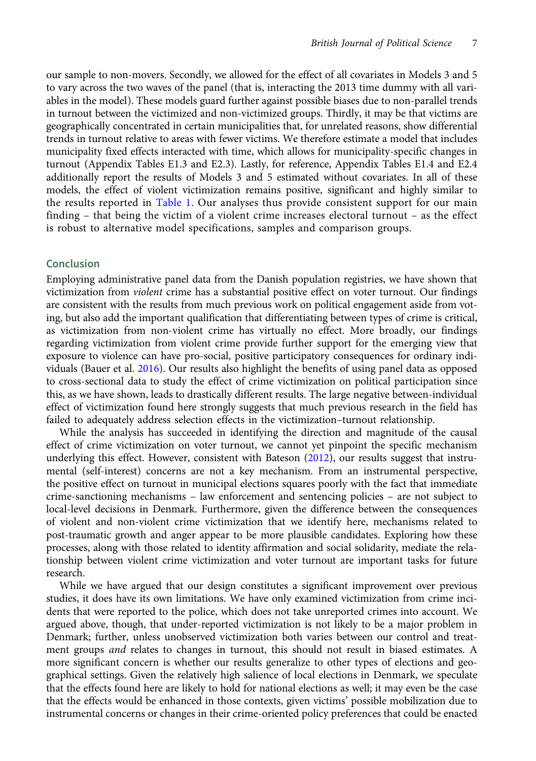our sample to non-movers. Secondly, we allowed for the effect of all covariates in Models 3 and 5 to vary across the two waves of the panel (that is, interacting the 2013 time dummy with all variables in the model). These models guard further against possible biases due to non-parallel trends in turnout between the victimized and non-victimized groups. Thirdly, it may be that victims are geographically concentrated in certain municipalities that, for unrelated reasons, show differential trends in turnout relative to areas with fewer victims. We therefore estimate a model that includes municipality fixed effects interacted with time, which allows for municipality-specific changes in turnout (Appendix Tables E1.3 and E2.3). Lastly, for reference, Appendix Tables E1.4 and E2.4 additionally report the results of Models 3 and 5 estimated without covariates. In all of these models, the effect of violent victimization remains positive, significant and highly similar to the results reported in [Table 1.](#page-5-0) Our analyses thus provide consistent support for our main finding – that being the victim of a violent crime increases electoral turnout – as the effect is robust to alternative model specifications, samples and comparison groups.

# Conclusion

Employing administrative panel data from the Danish population registries, we have shown that victimization from violent crime has a substantial positive effect on voter turnout. Our findings are consistent with the results from much previous work on political engagement aside from voting, but also add the important qualification that differentiating between types of crime is critical, as victimization from non-violent crime has virtually no effect. More broadly, our findings regarding victimization from violent crime provide further support for the emerging view that exposure to violence can have pro-social, positive participatory consequences for ordinary individuals (Bauer et al. [2016](#page-7-0)). Our results also highlight the benefits of using panel data as opposed to cross-sectional data to study the effect of crime victimization on political participation since this, as we have shown, leads to drastically different results. The large negative between-individual effect of victimization found here strongly suggests that much previous research in the field has failed to adequately address selection effects in the victimization–turnout relationship.

While the analysis has succeeded in identifying the direction and magnitude of the causal effect of crime victimization on voter turnout, we cannot yet pinpoint the specific mechanism underlying this effect. However, consistent with Bateson [\(2012\)](#page-7-0), our results suggest that instrumental (self-interest) concerns are not a key mechanism. From an instrumental perspective, the positive effect on turnout in municipal elections squares poorly with the fact that immediate crime-sanctioning mechanisms – law enforcement and sentencing policies – are not subject to local-level decisions in Denmark. Furthermore, given the difference between the consequences of violent and non-violent crime victimization that we identify here, mechanisms related to post-traumatic growth and anger appear to be more plausible candidates. Exploring how these processes, along with those related to identity affirmation and social solidarity, mediate the relationship between violent crime victimization and voter turnout are important tasks for future research.

While we have argued that our design constitutes a significant improvement over previous studies, it does have its own limitations. We have only examined victimization from crime incidents that were reported to the police, which does not take unreported crimes into account. We argued above, though, that under-reported victimization is not likely to be a major problem in Denmark; further, unless unobserved victimization both varies between our control and treatment groups and relates to changes in turnout, this should not result in biased estimates. A more significant concern is whether our results generalize to other types of elections and geographical settings. Given the relatively high salience of local elections in Denmark, we speculate that the effects found here are likely to hold for national elections as well; it may even be the case that the effects would be enhanced in those contexts, given victims' possible mobilization due to instrumental concerns or changes in their crime-oriented policy preferences that could be enacted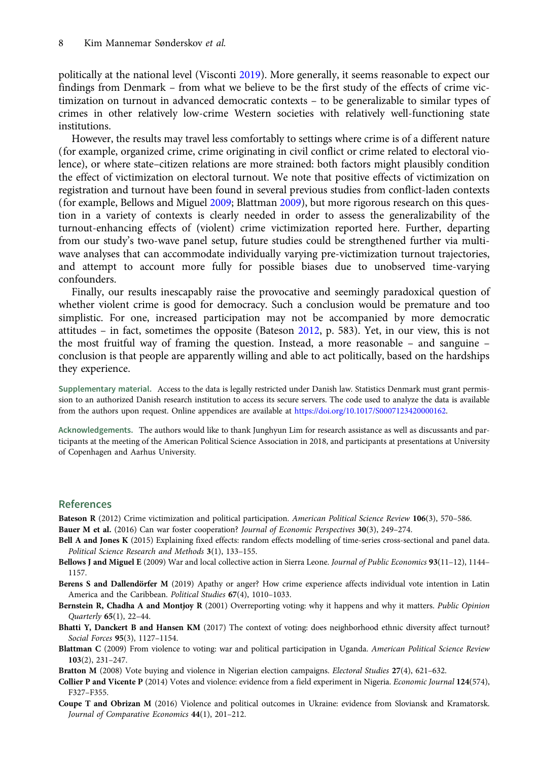<span id="page-7-0"></span>politically at the national level (Visconti [2019\)](#page-8-0). More generally, it seems reasonable to expect our findings from Denmark – from what we believe to be the first study of the effects of crime victimization on turnout in advanced democratic contexts – to be generalizable to similar types of crimes in other relatively low-crime Western societies with relatively well-functioning state institutions.

However, the results may travel less comfortably to settings where crime is of a different nature (for example, organized crime, crime originating in civil conflict or crime related to electoral violence), or where state–citizen relations are more strained: both factors might plausibly condition the effect of victimization on electoral turnout. We note that positive effects of victimization on registration and turnout have been found in several previous studies from conflict-laden contexts (for example, Bellows and Miguel 2009; Blattman 2009), but more rigorous research on this question in a variety of contexts is clearly needed in order to assess the generalizability of the turnout-enhancing effects of (violent) crime victimization reported here. Further, departing from our study's two-wave panel setup, future studies could be strengthened further via multiwave analyses that can accommodate individually varying pre-victimization turnout trajectories, and attempt to account more fully for possible biases due to unobserved time-varying confounders.

Finally, our results inescapably raise the provocative and seemingly paradoxical question of whether violent crime is good for democracy. Such a conclusion would be premature and too simplistic. For one, increased participation may not be accompanied by more democratic attitudes – in fact, sometimes the opposite (Bateson 2012, p. 583). Yet, in our view, this is not the most fruitful way of framing the question. Instead, a more reasonable – and sanguine – conclusion is that people are apparently willing and able to act politically, based on the hardships they experience.

Supplementary material. Access to the data is legally restricted under Danish law. Statistics Denmark must grant permission to an authorized Danish research institution to access its secure servers. The code used to analyze the data is available from the authors upon request. Online appendices are available at <https://doi.org/10.1017/S0007123420000162>.

Acknowledgements. The authors would like to thank Junghyun Lim for research assistance as well as discussants and participants at the meeting of the American Political Science Association in 2018, and participants at presentations at University of Copenhagen and Aarhus University.

## References

Bateson R (2012) Crime victimization and political participation. American Political Science Review 106(3), 570-586. Bauer M et al. (2016) Can war foster cooperation? Journal of Economic Perspectives 30(3), 249–274.

- Bell A and Jones K (2015) Explaining fixed effects: random effects modelling of time-series cross-sectional and panel data. Political Science Research and Methods 3(1), 133–155.
- Bellows J and Miguel E (2009) War and local collective action in Sierra Leone. Journal of Public Economics 93(11-12), 1144-1157.
- Berens S and Dallendörfer M (2019) Apathy or anger? How crime experience affects individual vote intention in Latin America and the Caribbean. Political Studies 67(4), 1010–1033.
- Bernstein R, Chadha A and Montjoy R (2001) Overreporting voting: why it happens and why it matters. Public Opinion Quarterly 65(1), 22–44.
- Bhatti Y, Danckert B and Hansen KM (2017) The context of voting: does neighborhood ethnic diversity affect turnout? Social Forces 95(3), 1127–1154.
- Blattman C (2009) From violence to voting: war and political participation in Uganda. American Political Science Review 103(2), 231–247.
- Bratton M (2008) Vote buying and violence in Nigerian election campaigns. Electoral Studies 27(4), 621-632.
- Collier P and Vicente P (2014) Votes and violence: evidence from a field experiment in Nigeria. Economic Journal 124(574), F327–F355.
- Coupe T and Obrizan M (2016) Violence and political outcomes in Ukraine: evidence from Sloviansk and Kramatorsk. Journal of Comparative Economics 44(1), 201–212.